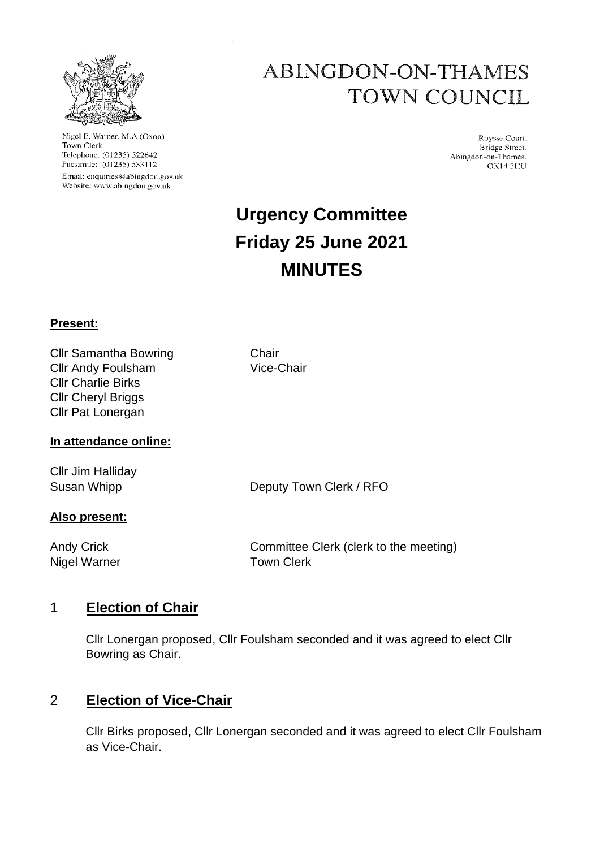

Nigel E. Warner, M.A.(Oxon) Town Clerk Telephone: (01235) 522642 Facsimile: (01235) 533112 Email: enquiries@abingdon.gov.uk Website: www.abingdon.gov.uk

# **ABINGDON-ON-THAMES TOWN COUNCIL**

Roysse Court, Bridge Street, Abingdon-on-Thames. OX14 3HU

# **Urgency Committee Friday 25 June 2021 MINUTES**

### **Present:**

Cllr Samantha Bowring Chair Cllr Andy Foulsham Vice-Chair Cllr Charlie Birks Cllr Cheryl Briggs Cllr Pat Lonergan

### **In attendance online:**

Cllr Jim Halliday

Susan Whipp **Deputy Town Clerk / RFO** 

## **Also present:**

Nigel Warner **Town Clerk** 

Andy Crick Committee Clerk (clerk to the meeting)

## 1 **Election of Chair**

Cllr Lonergan proposed, Cllr Foulsham seconded and it was agreed to elect Cllr Bowring as Chair.

## 2 **Election of Vice-Chair**

Cllr Birks proposed, Cllr Lonergan seconded and it was agreed to elect Cllr Foulsham as Vice-Chair.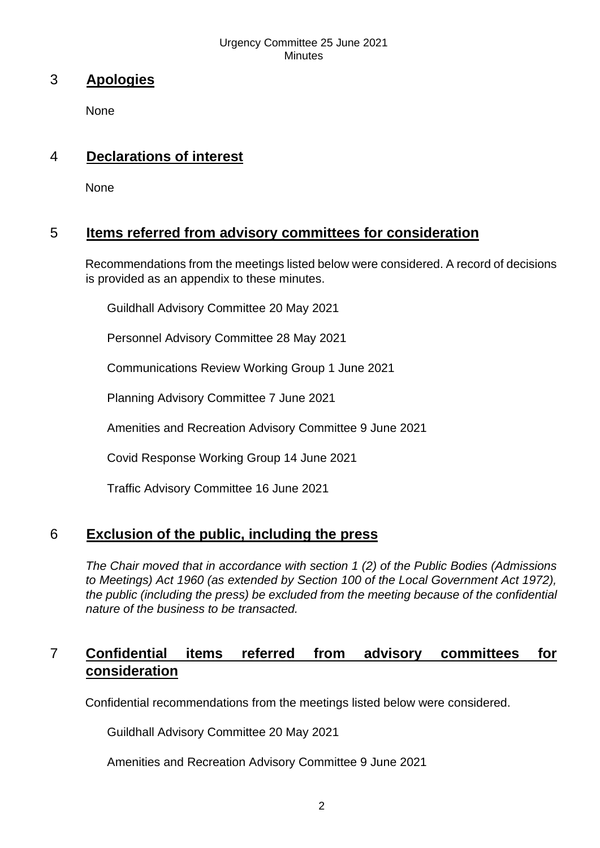#### Urgency Committee 25 June 2021 **Minutes**

## 3 **Apologies**

None

## 4 **Declarations of interest**

**None** 

## 5 **Items referred from advisory committees for consideration**

Recommendations from the meetings listed below were considered. A record of decisions is provided as an appendix to these minutes.

Guildhall Advisory Committee 20 May 2021

Personnel Advisory Committee 28 May 2021

Communications Review Working Group 1 June 2021

Planning Advisory Committee 7 June 2021

Amenities and Recreation Advisory Committee 9 June 2021

Covid Response Working Group 14 June 2021

Traffic Advisory Committee 16 June 2021

## 6 **Exclusion of the public, including the press**

*The Chair moved that in accordance with section 1 (2) of the Public Bodies (Admissions to Meetings) Act 1960 (as extended by Section 100 of the Local Government Act 1972), the public (including the press) be excluded from the meeting because of the confidential nature of the business to be transacted.* 

## 7 **Confidential items referred from advisory committees for consideration**

Confidential recommendations from the meetings listed below were considered.

Guildhall Advisory Committee 20 May 2021

Amenities and Recreation Advisory Committee 9 June 2021